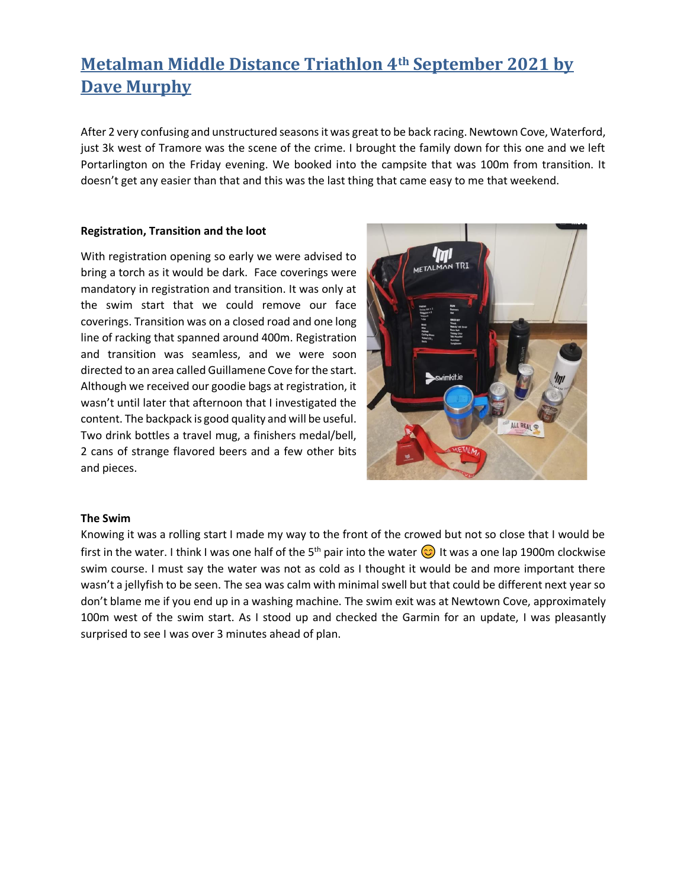# **Metalman Middle Distance Triathlon 4th September 2021 by Dave Murphy**

After 2 very confusing and unstructured seasons it was great to be back racing. Newtown Cove, Waterford, just 3k west of Tramore was the scene of the crime. I brought the family down for this one and we left Portarlington on the Friday evening. We booked into the campsite that was 100m from transition. It doesn't get any easier than that and this was the last thing that came easy to me that weekend.

#### **Registration, Transition and the loot**

With registration opening so early we were advised to bring a torch as it would be dark. Face coverings were mandatory in registration and transition. It was only at the swim start that we could remove our face coverings. Transition was on a closed road and one long line of racking that spanned around 400m. Registration and transition was seamless, and we were soon directed to an area called Guillamene Cove for the start. Although we received our goodie bags at registration, it wasn't until later that afternoon that I investigated the content. The backpack is good quality and will be useful. Two drink bottles a travel mug, a finishers medal/bell, 2 cans of strange flavored beers and a few other bits and pieces.



#### **The Swim**

Knowing it was a rolling start I made my way to the front of the crowed but not so close that I would be first in the water. I think I was one half of the 5<sup>th</sup> pair into the water  $\odot$  It was a one lap 1900m clockwise swim course. I must say the water was not as cold as I thought it would be and more important there wasn't a jellyfish to be seen. The sea was calm with minimal swell but that could be different next year so don't blame me if you end up in a washing machine. The swim exit was at Newtown Cove, approximately 100m west of the swim start. As I stood up and checked the Garmin for an update, I was pleasantly surprised to see I was over 3 minutes ahead of plan.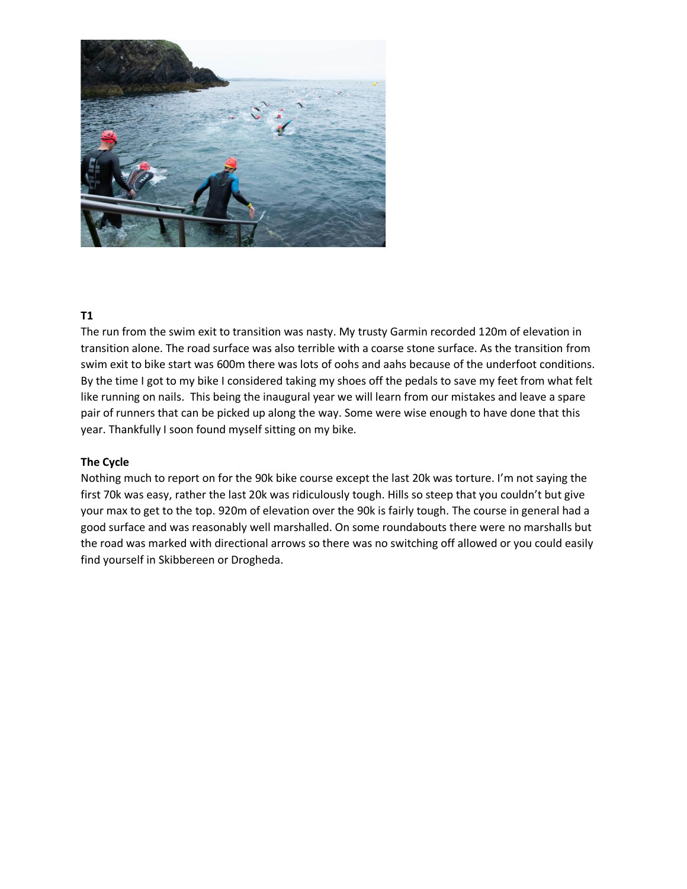

## **T1**

The run from the swim exit to transition was nasty. My trusty Garmin recorded 120m of elevation in transition alone. The road surface was also terrible with a coarse stone surface. As the transition from swim exit to bike start was 600m there was lots of oohs and aahs because of the underfoot conditions. By the time I got to my bike I considered taking my shoes off the pedals to save my feet from what felt like running on nails. This being the inaugural year we will learn from our mistakes and leave a spare pair of runners that can be picked up along the way. Some were wise enough to have done that this year. Thankfully I soon found myself sitting on my bike.

### **The Cycle**

Nothing much to report on for the 90k bike course except the last 20k was torture. I'm not saying the first 70k was easy, rather the last 20k was ridiculously tough. Hills so steep that you couldn't but give your max to get to the top. 920m of elevation over the 90k is fairly tough. The course in general had a good surface and was reasonably well marshalled. On some roundabouts there were no marshalls but the road was marked with directional arrows so there was no switching off allowed or you could easily find yourself in Skibbereen or Drogheda.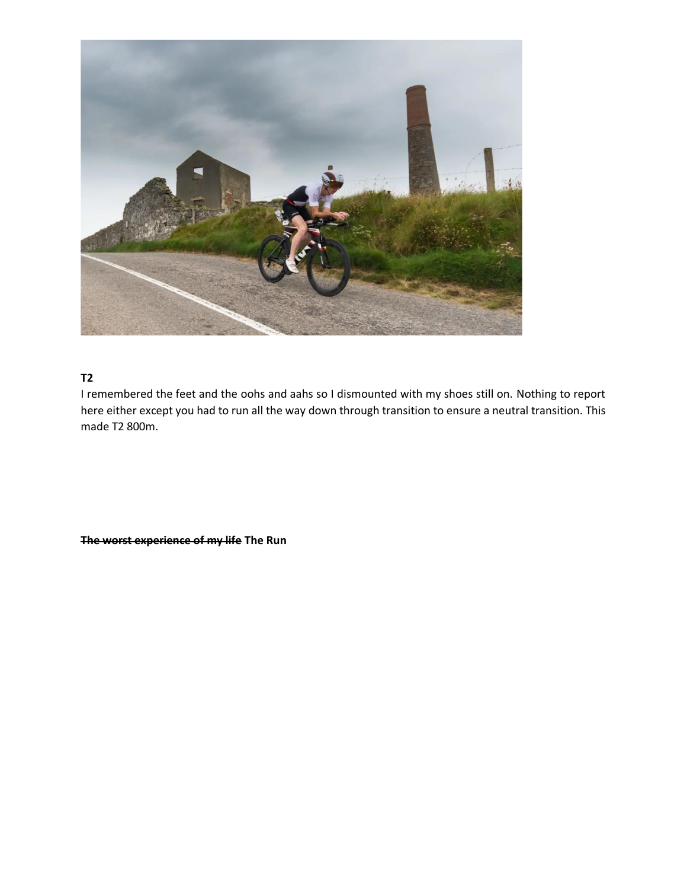

## **T2**

I remembered the feet and the oohs and aahs so I dismounted with my shoes still on. Nothing to report here either except you had to run all the way down through transition to ensure a neutral transition. This made T2 800m.

**The worst experience of my life The Run**